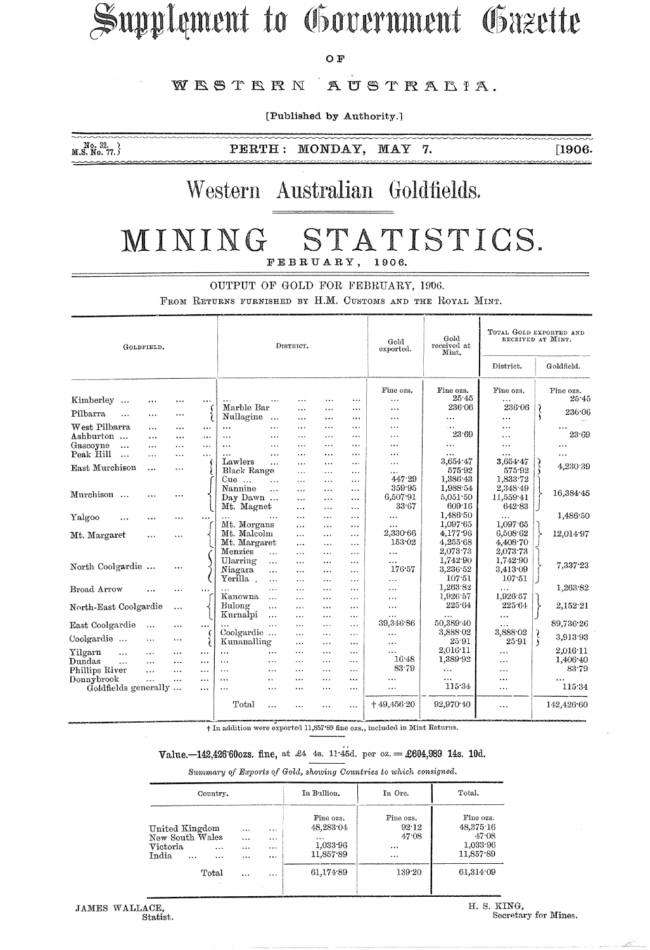# Supplement to Government Gazette

OF<sup>1</sup>

#### WESTERN AUSTRALIA.

[Published by Authority.]

 $M_{\rm o.}$   $^{10.32}_{\rm M.5.}$  No. 77. }

PERTH: MONDAY, MAY 7.  $[1906.$ 

### Western Australian Goldfields.

#### STATISTICS. MINING FEBRUARY, 1906.

OUTPUT OF GOLD FOR FEBRUARY, 1906.

FEOM RETURNS FURNISHED BY H.M. CUSTOMS AND THE ROYAL MINT.

| GOLDFIELD.              |           |           |           | DISTRICT.                   |                      |                       |                      |                       | Gold<br>exported.     | Gold<br>received at<br>Mint. | TOTAL GOLD EXPORTED AND<br>RECEIVED AT MINT. |            |                        |
|-------------------------|-----------|-----------|-----------|-----------------------------|----------------------|-----------------------|----------------------|-----------------------|-----------------------|------------------------------|----------------------------------------------|------------|------------------------|
|                         |           |           |           |                             |                      |                       |                      |                       |                       |                              | District.                                    | Goldfield. |                        |
| Kimberley               | $\cdots$  |           | $\cdots$  |                             | $\cdots$             | $\cdots$              | $\ddotsc$            | $\cdots$              | Fine ozs.<br>$\cdots$ | Fine ozs.<br>25.45           | Fine ozs.<br>$\ddotsc$                       |            | Fine ozs.<br>$25 - 45$ |
|                         |           |           |           | Marble Bar                  |                      | $\cdots$              | .                    | $\cdots$              | $\cdots$              | 236.06                       | 236.06                                       |            | 236.06                 |
| Pilbarra<br>$\cdots$    | $\ddotsc$ | $\cdots$  |           | Nullagine                   | $\ddotsc$            | $\cdots$              | $\cdots$             | $\cdots$              | $\cdots$              | .                            | $\cdots$                                     | ۱,         |                        |
| West Pilbarra           | $\cdots$  |           | $\cdots$  | $\cdots$                    | .                    | $\cdots$              | .                    | $\cdots$              | $\cdots$              | $\cdots$                     | $\cdots$                                     |            | $\cdots$               |
| Ashburton               | $\cdots$  | $\cdots$  | $\cdots$  | $\cdots$                    |                      | $\cdots$              | .                    | $\cdots$              | $\ddotsc$             | 23.69                        | .                                            |            | 23.69                  |
| Gascoyne<br>$\ddotsc$   | $\ddotsc$ | $\ddotsc$ | $\cdots$  | $\ddotsc$                   | $\cdots$             | $\cdots$              | .                    | $\cdots$              | $\cdots$              | $\cdots$                     | $\cdots$                                     |            |                        |
| Peak Hill<br>$\dddotsc$ | $\cdots$  |           | $\cdots$  | .                           | .                    | $\cdots$              | $\ddotsc$            | $\cdots$              |                       | $\cdots$                     | $\cdots$                                     |            | $\cdots$               |
| East Murchison          | $\cdots$  | $\cdots$  |           | Lawlers                     | $\ldots$             |                       | $\cdots$             | $\cdots$              | $\cdots$              | 3,654.47                     | 3,654.47                                     |            | 4,230.39               |
|                         |           |           |           | Black Range                 |                      | $\cdots$              | $\ddotsc$            | $\cdots$              | $\ddotsc$<br>447.29   | 575.92<br>1,386.43           | 575.92<br>1.833.72                           |            |                        |
|                         |           |           |           | Cue<br>$\ddotsc$<br>Nannine | $\ddotsc$            | $\cdots$              | $\ddotsc$            | $\cdots$              | 359.95                | 1,988.54                     | 2,348 49                                     |            |                        |
| Murchison               | .         |           |           | Day Dawn                    | $\ddotsc$            | $\cdots$              | $\cdots$             | $\cdots$              | 6,507.91              | 5,051.50                     | 11,559.41                                    |            | 16,384 45              |
|                         |           |           |           | Mt. Magnet                  |                      | $\cdots$              | $\ddotsc$            |                       | 33.67                 | 609.16                       | 642.83                                       |            |                        |
|                         |           |           |           |                             |                      | $\cdots$              | $\cdots$             | $\cdots$              |                       | 1,486 50                     |                                              |            | 1,486.50               |
| Yalgoo                  | .         | $\cdots$  |           | Mt. Morgans                 | $\ddotsc$            |                       | $\ddotsc$            |                       | $\cdots$              | 1,097.65                     | .<br>1,097.65                                |            |                        |
|                         |           |           |           | Mt. Malcolm                 |                      | $\cdots$              | $\cdots$             | $\cdots$              | $\cdots$<br>2,330.66  | 4,177.96                     | 6,508.62                                     |            | 12,014.97              |
| Mt. Margaret            | $\cdots$  | $\cdots$  |           | Mt. Margaret                |                      | $\ddotsc$             | $\ddotsc$            | $\cdots$<br>$\ddotsc$ | 153.02                | 4,255.68                     | 4.408.70                                     |            |                        |
|                         |           |           |           | Menzies                     | $\cdots$             | $\cdots$<br>$\ddotsc$ | $\cdots$<br>$\cdots$ | $\cdots$              | $\cdots$              | 2,073.73                     | 2,073.73                                     |            |                        |
|                         |           |           |           | Ularring                    | $\cdots$             | $\cdots$              | $\cdots$             | $\cdots$              | $\cdots$              | 1,742.90                     | 1,742.90                                     |            |                        |
| North Coolgardie        |           | $\ddotsc$ |           | Niagara                     | .                    | $\ddotsc$             | $\cdots$             | $\cdots$              | 176.57                | 3,236.52                     | 3.413.09                                     |            | 7,337.23               |
|                         |           |           |           | Yerilla .                   | $\cdots$             |                       | $\cdots$             | $\cdots$              | $\ddotsc$             | 107.51                       | 107.51                                       |            |                        |
| Broad Arrow             |           |           | $\ddotsc$ |                             | .                    | $\cdots$              | $\ddotsc$            | $\cdots$              | $\cdots$              | 1,263.82                     | .                                            |            | 1,263.82               |
|                         |           |           |           | Kanowna                     | $\cdots$             |                       |                      | $\cdots$              | $\cdots$              | 1,926.57                     | 1,926.57                                     |            |                        |
| North-East Coolgardie   |           | $\cdots$  |           | Bulong                      | $\cdots$             |                       |                      | $\cdots$              | $\cdots$              | 225.64                       | 225.64                                       |            | 2,152.21               |
|                         |           |           |           | Kurnalpi                    | .                    | $\cdots$              | $\cdots$             | $\cdots$              | $\cdots$              | .                            | $\cdots$                                     |            |                        |
| East Coolgardie         | $\ddotsc$ | $\cdots$  | $\cdots$  |                             | $\ddotsc$            | $\cdots$              | $\cdots$             | $\cdots$              | 39,346.86             | 50,389.40                    | $\cdots$                                     |            | 89,736.26              |
|                         |           |           |           | Coolgardie                  |                      | $\cdots$              | $\ddots$             | $\ddotsc$             | $\cdots$              | 3,888.02                     | 3,888.02                                     |            |                        |
| Coolgardie              | $\cdots$  | $\ddotsc$ |           | Kunanalling                 |                      | $\cdots$              | $\cdots$             | $\cdots$              | .                     | 25.91                        | 25.91                                        | $\zeta$    | 3,913.93               |
| Yilgarn<br>$\ddotsc$    |           | $\cdots$  | $\cdots$  | $\ddotsc$                   | $\cdots$             | $\cdots$              | $\cdots$             | $\cdots$              |                       | 2,016.11                     | $\cdots$                                     |            | 2,016.11               |
| Dundas<br>$\ddotsc$     | $\cdots$  | $\cdots$  | $\cdots$  | $\ddotsc$                   | $\ddotsc$            | .                     | $\cdots$             |                       | 1648                  | 1,389.92                     | $\cdots$                                     |            | 1,406.40               |
| Phillips River          | $\cdots$  | $\cdots$  | $\cdots$  | $\cdots$                    | $\ddotsc$            | .                     | $\cdots$             | $\cdots$              | 83.79                 | .                            | .                                            |            | 83.79                  |
| Donnybrook              | $\cdots$  | $\cdots$  | $\cdots$  | $\cdots$                    | $\ddot{\phantom{a}}$ | $\cdots$              | $\cdots$             | $\ddotsc$             | $\cdots$              | $\cdots$                     | $\ddotsc$                                    |            | .                      |
| Goldfields generally    |           |           | $\cdots$  | $\cdots$                    | $\cdots$             |                       | $\cdots$             |                       | $\cdots$              | 115.34                       | $\cdots$                                     |            | 115.34                 |
|                         |           |           |           | Total                       | $\ddotsc$            | $\ddotsc$             | $\cdots$             | $\cdots$              | $+49,456.20$          | 92,970.40                    | $\cdots$                                     |            | 142,426.60             |

+ In addition were exported 11,857.89 fine ozs., included in Mint Returns.

#### Value.-142,426'60ozs. fine, at £4 4s. 11:45d. per oz. = £604,989 14s. 10d.

Summary of Exports of Gold, showing Countries to which consigned.

| Country,                                                                                            |                                                                                      | In Bullion.                                                              | In Ore.                                                | Total.                                                                |
|-----------------------------------------------------------------------------------------------------|--------------------------------------------------------------------------------------|--------------------------------------------------------------------------|--------------------------------------------------------|-----------------------------------------------------------------------|
| United Kingdom<br>New South Wales<br>Victoria<br>$\cdots$<br>India<br>$\cdots$<br>$\cdots$<br>Total | $\cdots$<br><br>$\cdots$<br><br>$\cdots$<br><br>$\cdots$<br><br>$\cdots$<br>$\cdots$ | Fine ozs.<br>48,283 04<br>$\cdots$<br>1.033.96<br>11,857.89<br>61,174.89 | Fine ozs.<br>92.12<br>47.08<br><br>$\ddotsc$<br>139.20 | Fine ozs.<br>48.375.16<br>47.08<br>1.033.96<br>11,857.89<br>61,314.09 |

H. S. KING, Secretary for Mines.